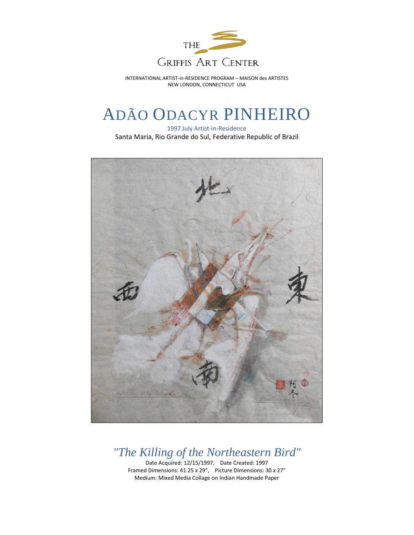

INTERNATIONAL ARTIST-in-RESIDENCE PROGRAM – MAISON des ARTISTES NEW LONDON, CONNECTICUT USA

## ADÃO ODACYR PINHEIRO

1997 July Artist-in-Residence Santa Maria, Rio Grande do Sul, Federative Republic of Brazil



*"The Killing of the Northeastern Bird"* Date Acquired: 12/15/1997, Date Created: 1997

Framed Dimensions: 41.25 x 29", Picture Dimensions: 30 x 27" Medium: Mixed Media Collage on Indian Handmade Paper